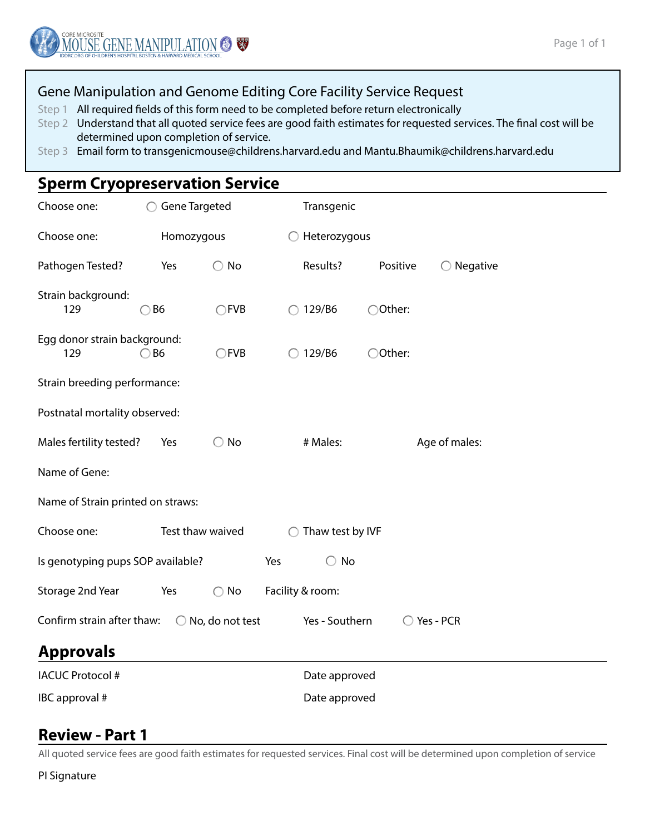### Gene Manipulation and Genome Editing Core Facility Service Request

Step 1 All required fields of this form need to be completed before return electronically

- Step 2 Understand that all quoted service fees are good faith estimates for requested services. The final cost will be determined upon completion of service.
- Step 3 Email form to transgenicmouse@childrens.harvard.edu and Mantu.Bhaumik@childrens.harvard.edu

# **Sperm Cryopreservation Service**

| Choose one:                                                                               | <b>Gene Targeted</b> |                |                 | Transgenic       |          |                     |  |  |  |  |
|-------------------------------------------------------------------------------------------|----------------------|----------------|-----------------|------------------|----------|---------------------|--|--|--|--|
| Choose one:                                                                               | Homozygous           |                |                 | Heterozygous     |          |                     |  |  |  |  |
| Pathogen Tested?                                                                          | Yes                  | $\bigcirc$ No  |                 | Results?         | Positive | $\bigcirc$ Negative |  |  |  |  |
| Strain background:<br>129                                                                 | $\bigcirc$ B6        | $\bigcirc$ FVB | ∩               | 129/B6           | ○Other:  |                     |  |  |  |  |
| Egg donor strain background:<br>129                                                       | $\bigcirc$ B6        | CFVB           | $\left(\right)$ | 129/B6           | ○Other:  |                     |  |  |  |  |
| Strain breeding performance:                                                              |                      |                |                 |                  |          |                     |  |  |  |  |
| Postnatal mortality observed:                                                             |                      |                |                 |                  |          |                     |  |  |  |  |
| Males fertility tested?                                                                   | Yes                  | No<br>O        |                 | # Males:         |          | Age of males:       |  |  |  |  |
| Name of Gene:                                                                             |                      |                |                 |                  |          |                     |  |  |  |  |
| Name of Strain printed on straws:                                                         |                      |                |                 |                  |          |                     |  |  |  |  |
| Choose one:                                                                               | Test thaw waived     |                | ◯               | Thaw test by IVF |          |                     |  |  |  |  |
| $\bigcirc$ No<br>Is genotyping pups SOP available?<br>Yes                                 |                      |                |                 |                  |          |                     |  |  |  |  |
| Storage 2nd Year                                                                          | Yes                  | No<br>∩        |                 | Facility & room: |          |                     |  |  |  |  |
| Confirm strain after thaw:<br>$\bigcirc$ No, do not test<br>Yes - Southern<br>◯ Yes - PCR |                      |                |                 |                  |          |                     |  |  |  |  |
| <b>Approvals</b>                                                                          |                      |                |                 |                  |          |                     |  |  |  |  |
| <b>IACUC Protocol #</b>                                                                   |                      |                |                 | Date approved    |          |                     |  |  |  |  |
| IBC approval #<br>Date approved                                                           |                      |                |                 |                  |          |                     |  |  |  |  |

### **Review - Part 1**

All quoted service fees are good faith estimates for requested services. Final cost will be determined upon completion of service

PI Signature